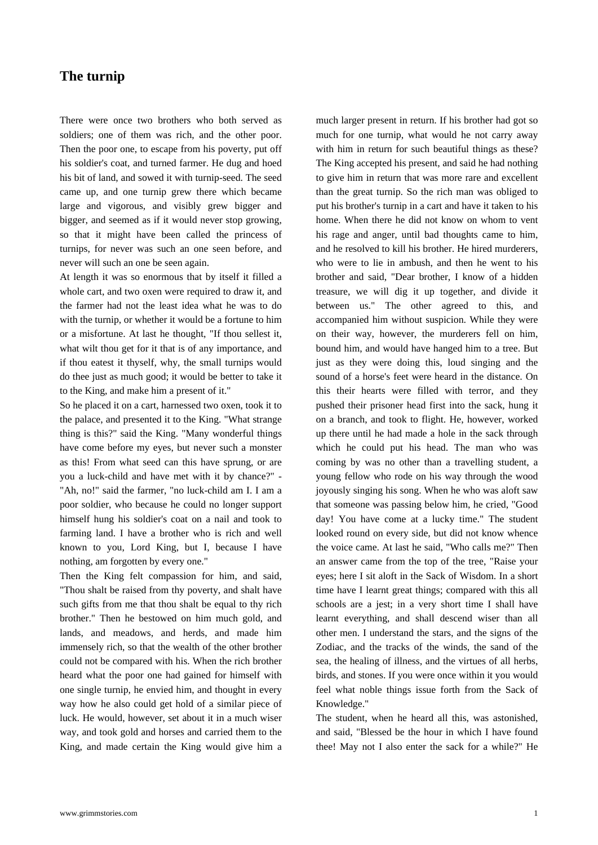## **The turnip**

[There were onc](https://www.grimmstories.com/en/grimm_fairy-tales/the_turnip)e two brothers who both served as soldiers; one of them was rich, and the other poor. Then the poor one, to escape from his poverty, put off his soldier's coat, and turned farmer. He dug and hoed his bit of land, and sowed it with turnip-seed. The seed came up, and one turnip grew there which became large and vigorous, and visibly grew bigger and bigger, and seemed as if it would never stop growing, so that it might have been called the princess of turnips, for never was such an one seen before, and never will such an one be seen again.

At length it was so enormous that by itself it filled a whole cart, and two oxen were required to draw it, and the farmer had not the least idea what he was to do with the turnip, or whether it would be a fortune to him or a misfortune. At last he thought, "If thou sellest it, what wilt thou get for it that is of any importance, and if thou eatest it thyself, why, the small turnips would do thee just as much good; it would be better to take it to the King, and make him a present of it."

So he placed it on a cart, harnessed two oxen, took it to the palace, and presented it to the King. "What strange thing is this?" said the King. "Many wonderful things have come before my eyes, but never such a monster as this! From what seed can this have sprung, or are you a luck-child and have met with it by chance?" - "Ah, no!" said the farmer, "no luck-child am I. I am a poor soldier, who because he could no longer support himself hung his soldier's coat on a nail and took to farming land. I have a brother who is rich and well known to you, Lord King, but I, because I have nothing, am forgotten by every one."

Then the King felt compassion for him, and said, "Thou shalt be raised from thy poverty, and shalt have such gifts from me that thou shalt be equal to thy rich brother." Then he bestowed on him much gold, and lands, and meadows, and herds, and made him immensely rich, so that the wealth of the other brother could not be compared with his. When the rich brother heard what the poor one had gained for himself with one single turnip, he envied him, and thought in every way how he also could get hold of a similar piece of luck. He would, however, set about it in a much wiser way, and took gold and horses and carried them to the King, and made certain the King would give him a much larger present in return. If his brother had got so much for one turnip, what would he not carry away with him in return for such beautiful things as these? The King accepted his present, and said he had nothing to give him in return that was more rare and excellent than the great turnip. So the rich man was obliged to put his brother's turnip in a cart and have it taken to his home. When there he did not know on whom to vent his rage and anger, until bad thoughts came to him, and he resolved to kill his brother. He hired murderers, who were to lie in ambush, and then he went to his brother and said, "Dear brother, I know of a hidden treasure, we will dig it up together, and divide it between us." The other agreed to this, and accompanied him without suspicion. While they were on their way, however, the murderers fell on him, bound him, and would have hanged him to a tree. But just as they were doing this, loud singing and the sound of a horse's feet were heard in the distance. On this their hearts were filled with terror, and they pushed their prisoner head first into the sack, hung it on a branch, and took to flight. He, however, worked up there until he had made a hole in the sack through which he could put his head. The man who was coming by was no other than a travelling student, a young fellow who rode on his way through the wood joyously singing his song. When he who was aloft saw that someone was passing below him, he cried, "Good day! You have come at a lucky time." The student looked round on every side, but did not know whence the voice came. At last he said, "Who calls me?" Then an answer came from the top of the tree, "Raise your eyes; here I sit aloft in the Sack of Wisdom. In a short time have I learnt great things; compared with this all schools are a jest; in a very short time I shall have learnt everything, and shall descend wiser than all other men. I understand the stars, and the signs of the Zodiac, and the tracks of the winds, the sand of the sea, the healing of illness, and the virtues of all herbs, birds, and stones. If you were once within it you would feel what noble things issue forth from the Sack of Knowledge."

The student, when he heard all this, was astonished, and said, "Blessed be the hour in which I have found thee! May not I also enter the sack for a while?" He